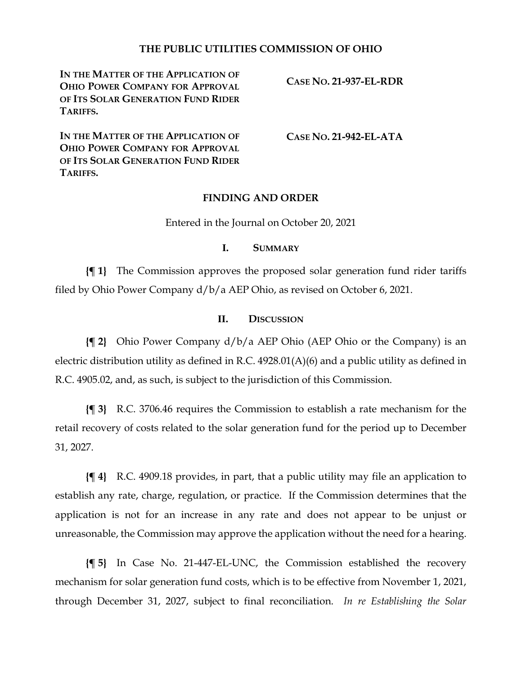## **THE PUBLIC UTILITIES COMMISSION OF OHIO**

**IN THE MATTER OF THE APPLICATION OF OHIO POWER COMPANY FOR APPROVAL OF ITS SOLAR GENERATION FUND RIDER TARIFFS.**

**CASE NO. 21-937-EL-RDR**

**IN THE MATTER OF THE APPLICATION OF OHIO POWER COMPANY FOR APPROVAL OF ITS SOLAR GENERATION FUND RIDER TARIFFS.**

**CASE NO. 21-942-EL-ATA**

### **FINDING AND ORDER**

Entered in the Journal on October 20, 2021

#### **I. SUMMARY**

**{¶ 1}** The Commission approves the proposed solar generation fund rider tariffs filed by Ohio Power Company d/b/a AEP Ohio, as revised on October 6, 2021.

### **II. DISCUSSION**

**{¶ 2}** Ohio Power Company d/b/a AEP Ohio (AEP Ohio or the Company) is an electric distribution utility as defined in R.C. 4928.01(A)(6) and a public utility as defined in R.C. 4905.02, and, as such, is subject to the jurisdiction of this Commission.

**{¶ 3}** R.C. 3706.46 requires the Commission to establish a rate mechanism for the retail recovery of costs related to the solar generation fund for the period up to December 31, 2027.

**{¶ 4}** R.C. 4909.18 provides, in part, that a public utility may file an application to establish any rate, charge, regulation, or practice. If the Commission determines that the application is not for an increase in any rate and does not appear to be unjust or unreasonable, the Commission may approve the application without the need for a hearing.

**{¶ 5}** In Case No. 21-447-EL-UNC, the Commission established the recovery mechanism for solar generation fund costs, which is to be effective from November 1, 2021, through December 31, 2027, subject to final reconciliation. *In re Establishing the Solar*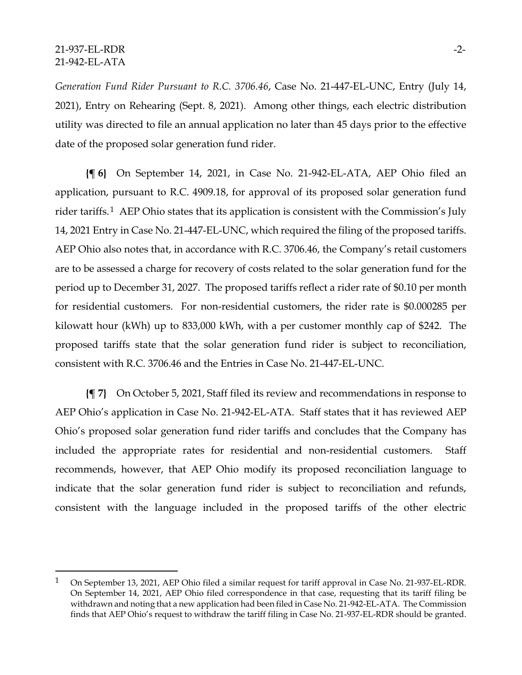### 21-937-EL-RDR -2- 21-942-EL-ATA

*Generation Fund Rider Pursuant to R.C. 3706.46*, Case No. 21-447-EL-UNC, Entry (July 14, 2021), Entry on Rehearing (Sept. 8, 2021). Among other things, each electric distribution utility was directed to file an annual application no later than 45 days prior to the effective date of the proposed solar generation fund rider.

**{¶ 6}** On September 14, 2021, in Case No. 21-942-EL-ATA, AEP Ohio filed an application, pursuant to R.C. 4909.18, for approval of its proposed solar generation fund rider tariffs.[1](#page-1-0) AEP Ohio states that its application is consistent with the Commission's July 14, 2021 Entry in Case No. 21-447-EL-UNC, which required the filing of the proposed tariffs. AEP Ohio also notes that, in accordance with R.C. 3706.46, the Company's retail customers are to be assessed a charge for recovery of costs related to the solar generation fund for the period up to December 31, 2027. The proposed tariffs reflect a rider rate of \$0.10 per month for residential customers. For non-residential customers, the rider rate is \$0.000285 per kilowatt hour (kWh) up to 833,000 kWh, with a per customer monthly cap of \$242. The proposed tariffs state that the solar generation fund rider is subject to reconciliation, consistent with R.C. 3706.46 and the Entries in Case No. 21-447-EL-UNC.

**{¶ 7}** On October 5, 2021, Staff filed its review and recommendations in response to AEP Ohio's application in Case No. 21-942-EL-ATA. Staff states that it has reviewed AEP Ohio's proposed solar generation fund rider tariffs and concludes that the Company has included the appropriate rates for residential and non-residential customers. Staff recommends, however, that AEP Ohio modify its proposed reconciliation language to indicate that the solar generation fund rider is subject to reconciliation and refunds, consistent with the language included in the proposed tariffs of the other electric

<span id="page-1-0"></span><sup>1</sup> On September 13, 2021, AEP Ohio filed a similar request for tariff approval in Case No. 21-937-EL-RDR. On September 14, 2021, AEP Ohio filed correspondence in that case, requesting that its tariff filing be withdrawn and noting that a new application had been filed in Case No. 21-942-EL-ATA. The Commission finds that AEP Ohio's request to withdraw the tariff filing in Case No. 21-937-EL-RDR should be granted.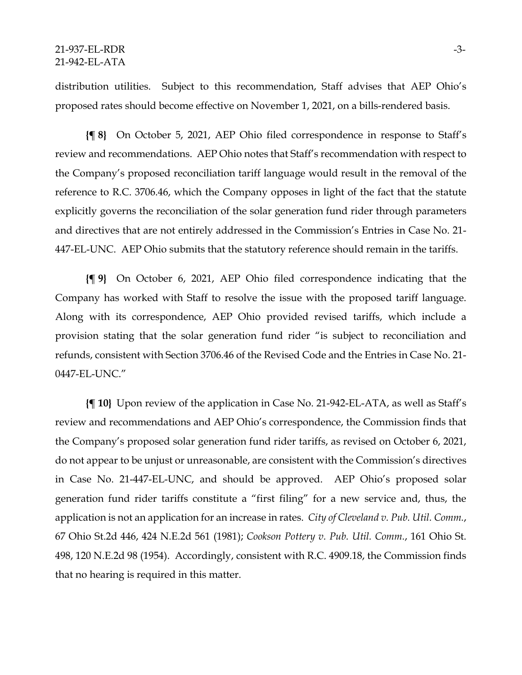distribution utilities. Subject to this recommendation, Staff advises that AEP Ohio's proposed rates should become effective on November 1, 2021, on a bills-rendered basis.

**{¶ 8}** On October 5, 2021, AEP Ohio filed correspondence in response to Staff's review and recommendations. AEP Ohio notes that Staff's recommendation with respect to the Company's proposed reconciliation tariff language would result in the removal of the reference to R.C. 3706.46, which the Company opposes in light of the fact that the statute explicitly governs the reconciliation of the solar generation fund rider through parameters and directives that are not entirely addressed in the Commission's Entries in Case No. 21- 447-EL-UNC. AEP Ohio submits that the statutory reference should remain in the tariffs.

**{¶ 9}** On October 6, 2021, AEP Ohio filed correspondence indicating that the Company has worked with Staff to resolve the issue with the proposed tariff language. Along with its correspondence, AEP Ohio provided revised tariffs, which include a provision stating that the solar generation fund rider "is subject to reconciliation and refunds, consistent with Section 3706.46 of the Revised Code and the Entries in Case No. 21- 0447-EL-UNC."

**{¶ 10}** Upon review of the application in Case No. 21-942-EL-ATA, as well as Staff's review and recommendations and AEP Ohio's correspondence, the Commission finds that the Company's proposed solar generation fund rider tariffs, as revised on October 6, 2021, do not appear to be unjust or unreasonable, are consistent with the Commission's directives in Case No. 21-447-EL-UNC, and should be approved. AEP Ohio's proposed solar generation fund rider tariffs constitute a "first filing" for a new service and, thus, the application is not an application for an increase in rates. *City of Cleveland v. Pub. Util. Comm.*, 67 Ohio St.2d 446, 424 N.E.2d 561 (1981); *Cookson Pottery v. Pub. Util. Comm.*, 161 Ohio St. 498, 120 N.E.2d 98 (1954). Accordingly, consistent with R.C. 4909.18, the Commission finds that no hearing is required in this matter.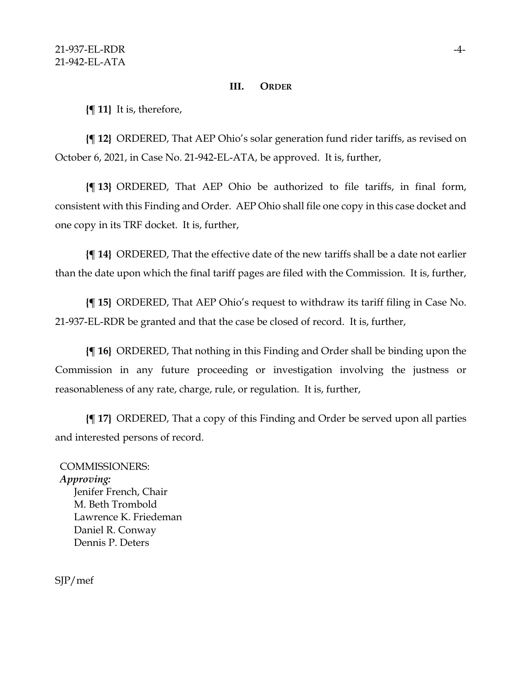### **III. ORDER**

**{¶ 11}** It is, therefore,

**{¶ 12}** ORDERED, That AEP Ohio's solar generation fund rider tariffs, as revised on October 6, 2021, in Case No. 21-942-EL-ATA, be approved. It is, further,

**{¶ 13}** ORDERED, That AEP Ohio be authorized to file tariffs, in final form, consistent with this Finding and Order. AEP Ohio shall file one copy in this case docket and one copy in its TRF docket. It is, further,

**{¶ 14}** ORDERED, That the effective date of the new tariffs shall be a date not earlier than the date upon which the final tariff pages are filed with the Commission. It is, further,

**{¶ 15}** ORDERED, That AEP Ohio's request to withdraw its tariff filing in Case No. 21-937-EL-RDR be granted and that the case be closed of record. It is, further,

**{¶ 16}** ORDERED, That nothing in this Finding and Order shall be binding upon the Commission in any future proceeding or investigation involving the justness or reasonableness of any rate, charge, rule, or regulation. It is, further,

**{¶ 17}** ORDERED, That a copy of this Finding and Order be served upon all parties and interested persons of record.

# COMMISSIONERS:

### *Approving:*

Jenifer French, Chair M. Beth Trombold Lawrence K. Friedeman Daniel R. Conway Dennis P. Deters

SJP/mef